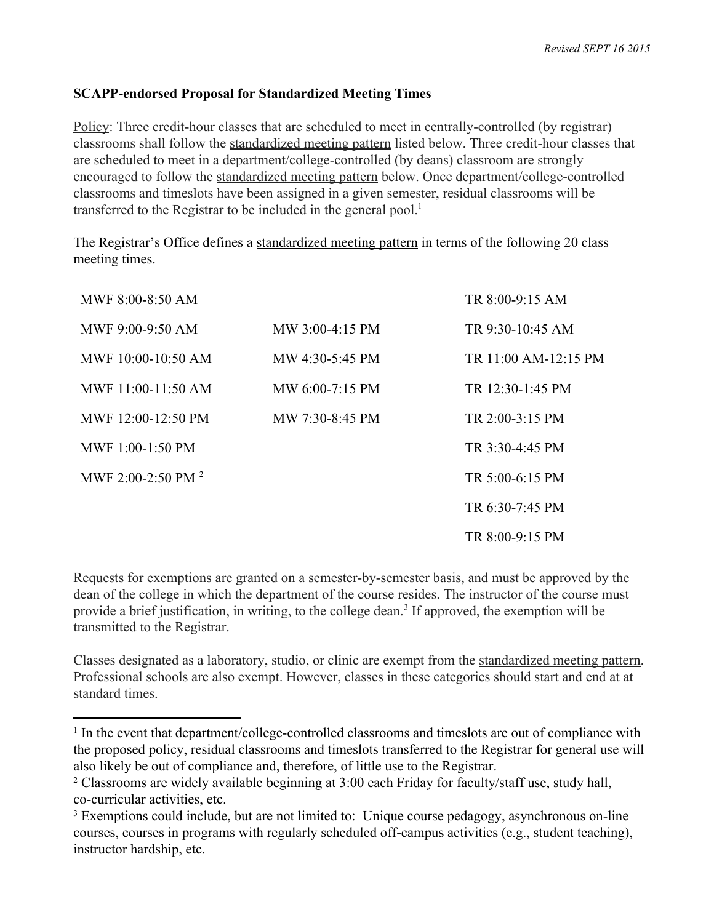## **SCAPPendorsed Proposal for Standardized Meeting Times**

Policy: Three credit-hour classes that are scheduled to meet in centrally-controlled (by registrar) classrooms shall follow the standardized meeting pattern listed below. Three credit-hour classes that are scheduled to meet in a department/college-controlled (by deans) classroom are strongly encouraged to follow the standardized meeting pattern below. Once department/college-controlled classrooms and timeslots have been assigned in a given semester, residual classrooms will be transferred to the Registrar to be included in the general pool. 1

The Registrar's Office defines a standardized meeting pattern in terms of the following 20 class meeting times.

| MWF $8:00-8:50$ AM      |                   | TR 8:00-9:15 AM      |
|-------------------------|-------------------|----------------------|
| MWF 9:00-9:50 AM        | $MW 3:00-4:15 PM$ | TR 9:30-10:45 AM     |
| MWF $10:00-10:50$ AM    | MW 4:30-5:45 PM   | TR 11:00 AM-12:15 PM |
| MWF 11:00-11:50 AM      | MW 6:00-7:15 PM   | TR 12:30-1:45 PM     |
| MWF $12:00-12:50$ PM    | MW 7:30-8:45 PM   | TR 2:00-3:15 PM      |
| MWF $1:00-1:50$ PM      |                   | TR 3:30-4:45 PM      |
| MWF 2:00-2:50 PM $^{2}$ |                   | TR $5:00-6:15$ PM    |
|                         |                   | TR 6:30-7:45 PM      |
|                         |                   | $TR 8:00-9:15 PM$    |

Requests for exemptions are granted on a semester-by-semester basis, and must be approved by the dean of the college in which the department of the course resides. The instructor of the course must provide a brief justification, in writing, to the college dean.<sup>3</sup> If approved, the exemption will be transmitted to the Registrar.

Classes designated as a laboratory, studio, or clinic are exempt from the standardized meeting pattern. Professional schools are also exempt. However, classes in these categories should start and end at at standard times.

 $1$  In the event that department/college-controlled classrooms and timeslots are out of compliance with the proposed policy, residual classrooms and timeslots transferred to the Registrar for general use will also likely be out of compliance and, therefore, of little use to the Registrar.

<sup>2</sup> Classrooms are widely available beginning at 3:00 each Friday for faculty/staff use, study hall, co-curricular activities, etc.

<sup>&</sup>lt;sup>3</sup> Exemptions could include, but are not limited to: Unique course pedagogy, asynchronous on-line courses, courses in programs with regularly scheduled off-campus activities (e.g., student teaching), instructor hardship, etc.